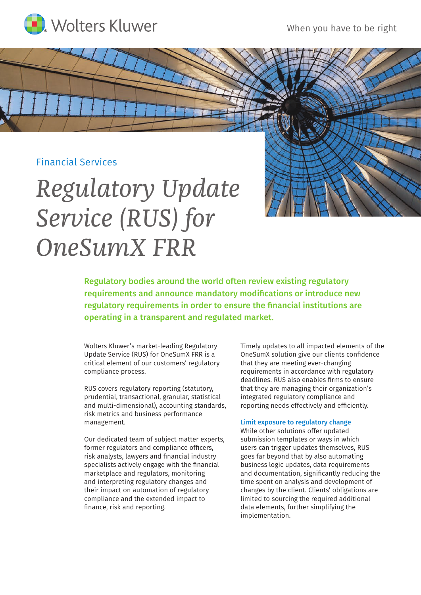

## Financial Services

# *Regulatory Update Service (RUS) for OneSumX FRR*

Regulatory bodies around the world often review existing regulatory requirements and announce mandatory modifications or introduce new regulatory requirements in order to ensure the financial institutions are operating in a transparent and regulated market.

Wolters Kluwer's market-leading Regulatory Update Service (RUS) for OneSumX FRR is a critical element of our customers' regulatory compliance process.

RUS covers regulatory reporting (statutory, prudential, transactional, granular, statistical and multi-dimensional), accounting standards, risk metrics and business performance management.

Our dedicated team of subject matter experts, former regulators and compliance officers, risk analysts, lawyers and financial industry specialists actively engage with the financial marketplace and regulators, monitoring and interpreting regulatory changes and their impact on automation of regulatory compliance and the extended impact to finance, risk and reporting.

Timely updates to all impacted elements of the OneSumX solution give our clients confidence that they are meeting ever-changing requirements in accordance with regulatory deadlines. RUS also enables firms to ensure that they are managing their organization's integrated regulatory compliance and reporting needs effectively and efficiently.

### Limit exposure to regulatory change

While other solutions offer updated submission templates or ways in which users can trigger updates themselves, RUS goes far beyond that by also automating business logic updates, data requirements and documentation, significantly reducing the time spent on analysis and development of changes by the client. Clients' obligations are limited to sourcing the required additional data elements, further simplifying the implementation.